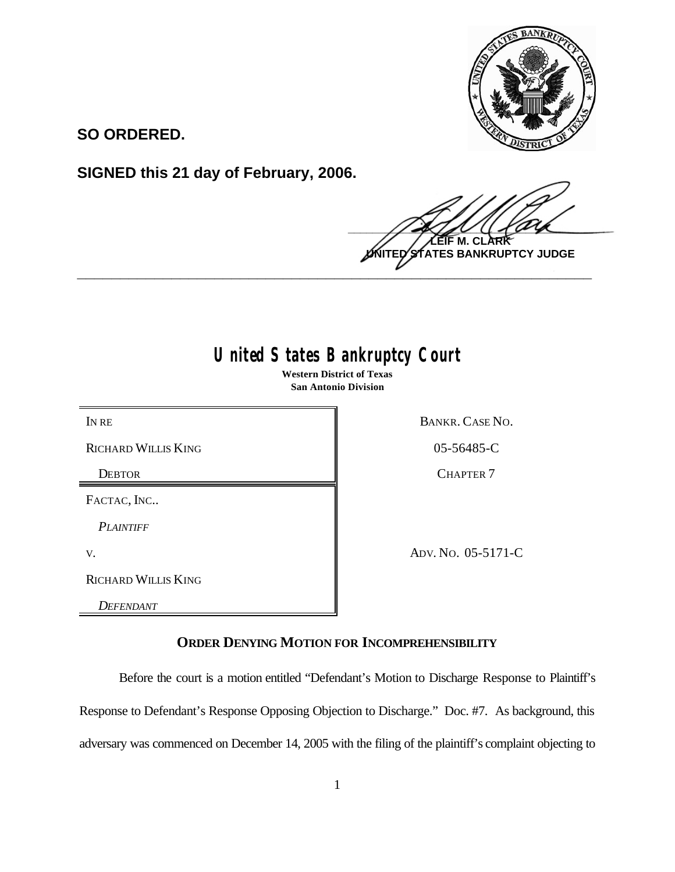

**SO ORDERED.**

**SIGNED this 21 day of February, 2006.**

 $\frac{1}{2}$ **M. NTES BANKRUPTCY JUDGE \_\_\_\_\_\_\_\_\_\_\_\_\_\_\_\_\_\_\_\_\_\_\_\_\_\_\_\_\_\_\_\_\_\_\_\_\_\_\_\_\_\_\_\_\_\_\_\_\_\_\_\_\_\_\_\_\_\_\_\_**

## **United States Bankruptcy Court**

**Western District of Texas San Antonio Division**

RICHARD WILLIS KING 05-56485-C

FACTAC, INC..

*PLAINTIFF*

RICHARD WILLIS KING

*DEFENDANT*

IN RE BANKR. CASE NO.

DEBTOR RESERVED BY CHAPTER 7

V. ADV. No. 05-5171-C

**ORDER DENYING MOTION FOR INCOMPREHENSIBILITY**

Before the court is a motion entitled "Defendant's Motion to Discharge Response to Plaintiff's

Response to Defendant's Response Opposing Objection to Discharge." Doc. #7. As background, this

adversary was commenced on December 14, 2005 with the filing of the plaintiff's complaint objecting to